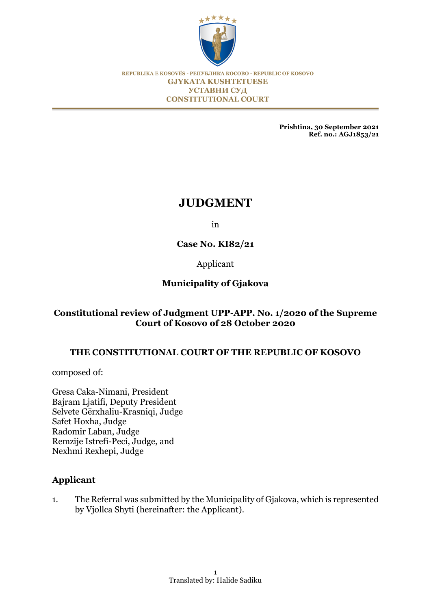

REPUBLIKA E KOSOVËS - РЕПУБЛИКА КОСОВО - REPUBLIC OF KOSOVO **GJYKATA KUSHTETUESE** УСТАВНИ СУД **CONSTITUTIONAL COURT** 

> **Prishtina, 30 September 2021 Ref. no.: AGJ1853/21**

# **JUDGMENT**

in

**Case No. KI82/21**

Applicant

# **Municipality of Gjakova**

# **Constitutional review of Judgment UPP-APP. No. 1/2020 of the Supreme Court of Kosovo of 28 October 2020**

# **THE CONSTITUTIONAL COURT OF THE REPUBLIC OF KOSOVO**

composed of:

Gresa Caka-Nimani, President Bajram Ljatifi, Deputy President Selvete Gërxhaliu-Krasniqi, Judge Safet Hoxha, Judge Radomir Laban, Judge Remzije Istrefi-Peci, Judge, and Nexhmi Rexhepi, Judge

# **Applicant**

1. The Referral was submitted by the Municipality of Gjakova, which is represented by Vjollca Shyti (hereinafter: the Applicant).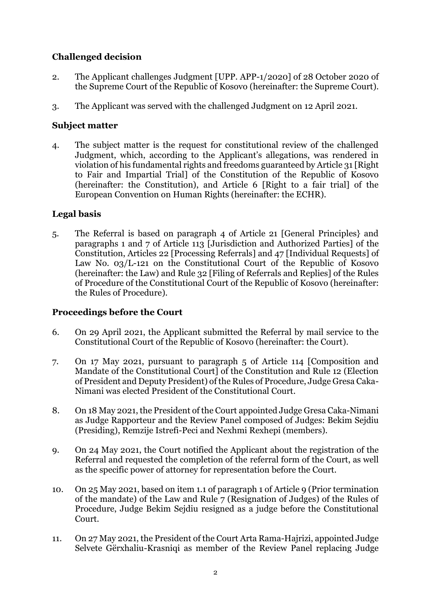# **Challenged decision**

- 2. The Applicant challenges Judgment [UPP. APP-1/2020] of 28 October 2020 of the Supreme Court of the Republic of Kosovo (hereinafter: the Supreme Court).
- 3. The Applicant was served with the challenged Judgment on 12 April 2021.

## **Subject matter**

4. The subject matter is the request for constitutional review of the challenged Judgment, which, according to the Applicant's allegations, was rendered in violation of his fundamental rights and freedoms guaranteed by Article 31 [Right to Fair and Impartial Trial] of the Constitution of the Republic of Kosovo (hereinafter: the Constitution), and Article 6 [Right to a fair trial] of the European Convention on Human Rights (hereinafter: the ECHR).

# **Legal basis**

5. The Referral is based on paragraph 4 of Article 21 [General Principles} and paragraphs 1 and 7 of Article 113 [Jurisdiction and Authorized Parties] of the Constitution, Articles 22 [Processing Referrals] and 47 [Individual Requests] of Law No. 03/L-121 on the Constitutional Court of the Republic of Kosovo (hereinafter: the Law) and Rule 32 [Filing of Referrals and Replies] of the Rules of Procedure of the Constitutional Court of the Republic of Kosovo (hereinafter: the Rules of Procedure).

# **Proceedings before the Court**

- 6. On 29 April 2021, the Applicant submitted the Referral by mail service to the Constitutional Court of the Republic of Kosovo (hereinafter: the Court).
- 7. On 17 May 2021, pursuant to paragraph 5 of Article 114 [Composition and Mandate of the Constitutional Court] of the Constitution and Rule 12 (Election of President and Deputy President) of the Rules of Procedure, Judge Gresa Caka-Nimani was elected President of the Constitutional Court.
- 8. On 18 May 2021, the President of the Court appointed Judge Gresa Caka-Nimani as Judge Rapporteur and the Review Panel composed of Judges: Bekim Sejdiu (Presiding), Remzije Istrefi-Peci and Nexhmi Rexhepi (members).
- 9. On 24 May 2021, the Court notified the Applicant about the registration of the Referral and requested the completion of the referral form of the Court, as well as the specific power of attorney for representation before the Court.
- 10. On 25 May 2021, based on item 1.1 of paragraph 1 of Article 9 (Prior termination of the mandate) of the Law and Rule 7 (Resignation of Judges) of the Rules of Procedure, Judge Bekim Sejdiu resigned as a judge before the Constitutional Court.
- 11. On 27 May 2021, the President of the Court Arta Rama-Hajrizi, appointed Judge Selvete Gërxhaliu-Krasniqi as member of the Review Panel replacing Judge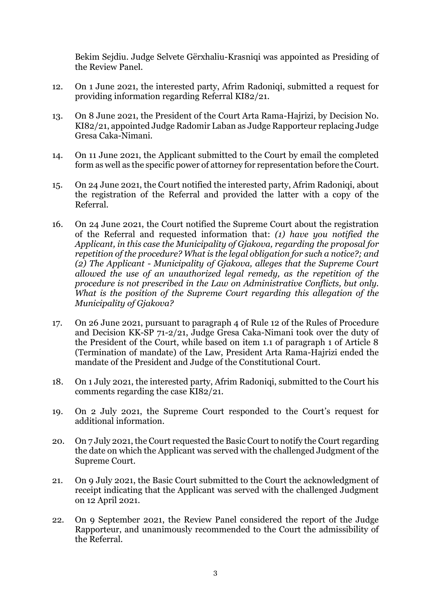Bekim Sejdiu. Judge Selvete Gërxhaliu-Krasniqi was appointed as Presiding of the Review Panel.

- 12. On 1 June 2021, the interested party, Afrim Radoniqi, submitted a request for providing information regarding Referral KI82/21.
- 13. On 8 June 2021, the President of the Court Arta Rama-Hajrizi, by Decision No. KI82/21, appointed Judge Radomir Laban as Judge Rapporteur replacing Judge Gresa Caka-Nimani.
- 14. On 11 June 2021, the Applicant submitted to the Court by email the completed form as well as the specific power of attorney for representation before the Court.
- 15. On 24 June 2021, the Court notified the interested party, Afrim Radoniqi, about the registration of the Referral and provided the latter with a copy of the Referral.
- 16. On 24 June 2021, the Court notified the Supreme Court about the registration of the Referral and requested information that: *(1) have you notified the Applicant, in this case the Municipality of Gjakova, regarding the proposal for repetition of the procedure? What is the legal obligation for such a notice?; and (2) The Applicant - Municipality of Gjakova, alleges that the Supreme Court allowed the use of an unauthorized legal remedy, as the repetition of the procedure is not prescribed in the Law on Administrative Conflicts, but only. What is the position of the Supreme Court regarding this allegation of the Municipality of Gjakova?*
- 17. On 26 June 2021, pursuant to paragraph 4 of Rule 12 of the Rules of Procedure and Decision KK-SP 71-2/21, Judge Gresa Caka-Nimani took over the duty of the President of the Court, while based on item 1.1 of paragraph 1 of Article 8 (Termination of mandate) of the Law, President Arta Rama-Hajrizi ended the mandate of the President and Judge of the Constitutional Court.
- 18. On 1 July 2021, the interested party, Afrim Radoniqi, submitted to the Court his comments regarding the case KI82/21.
- 19. On 2 July 2021, the Supreme Court responded to the Court's request for additional information.
- 20. On 7 July 2021, the Court requested the Basic Court to notify the Court regarding the date on which the Applicant was served with the challenged Judgment of the Supreme Court.
- 21. On 9 July 2021, the Basic Court submitted to the Court the acknowledgment of receipt indicating that the Applicant was served with the challenged Judgment on 12 April 2021.
- 22. On 9 September 2021, the Review Panel considered the report of the Judge Rapporteur, and unanimously recommended to the Court the admissibility of the Referral.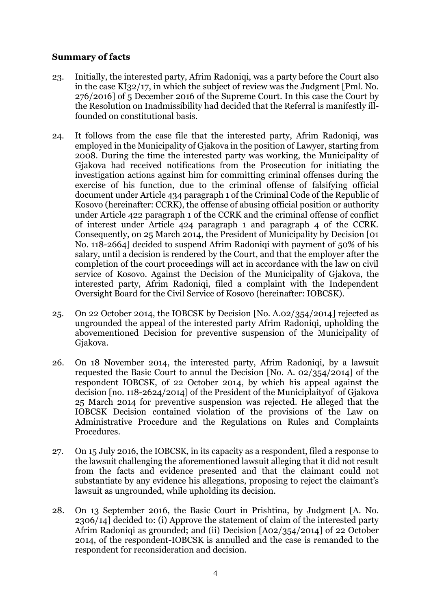## **Summary of facts**

- 23. Initially, the interested party, Afrim Radoniqi, was a party before the Court also in the case KI32/17, in which the subject of review was the Judgment [Pml. No. 276/2016] of 5 December 2016 of the Supreme Court. In this case the Court by the Resolution on Inadmissibility had decided that the Referral is manifestly illfounded on constitutional basis.
- 24. It follows from the case file that the interested party, Afrim Radoniqi, was employed in the Municipality of Gjakova in the position of Lawyer, starting from 2008. During the time the interested party was working, the Municipality of Gjakova had received notifications from the Prosecution for initiating the investigation actions against him for committing criminal offenses during the exercise of his function, due to the criminal offense of falsifying official document under Article 434 paragraph 1 of the Criminal Code of the Republic of Kosovo (hereinafter: CCRK), the offense of abusing official position or authority under Article 422 paragraph 1 of the CCRK and the criminal offense of conflict of interest under Article 424 paragraph 1 and paragraph 4 of the CCRK. Consequently, on 25 March 2014, the President of Municipality by Decision [01 No. 118-2664] decided to suspend Afrim Radoniqi with payment of 50% of his salary, until a decision is rendered by the Court, and that the employer after the completion of the court proceedings will act in accordance with the law on civil service of Kosovo. Against the Decision of the Municipality of Gjakova, the interested party, Afrim Radoniqi, filed a complaint with the Independent Oversight Board for the Civil Service of Kosovo (hereinafter: IOBCSK).
- 25. On 22 October 2014, the IOBCSK by Decision [No. A.02/354/2014] rejected as ungrounded the appeal of the interested party Afrim Radoniqi, upholding the abovementioned Decision for preventive suspension of the Municipality of Gjakova.
- 26. On 18 November 2014, the interested party, Afrim Radoniqi, by a lawsuit requested the Basic Court to annul the Decision [No. A. 02/354/2014] of the respondent IOBCSK, of 22 October 2014, by which his appeal against the decision [no. 118-2624/2014] of the President of the Municiplaityof of Gjakova 25 March 2014 for preventive suspension was rejected. He alleged that the IOBCSK Decision contained violation of the provisions of the Law on Administrative Procedure and the Regulations on Rules and Complaints Procedures.
- 27. On 15 July 2016, the IOBCSK, in its capacity as a respondent, filed a response to the lawsuit challenging the aforementioned lawsuit alleging that it did not result from the facts and evidence presented and that the claimant could not substantiate by any evidence his allegations, proposing to reject the claimant's lawsuit as ungrounded, while upholding its decision.
- 28. On 13 September 2016, the Basic Court in Prishtina, by Judgment [A. No. 2306/14] decided to: (i) Approve the statement of claim of the interested party Afrim Radoniqi as grounded; and (ii) Decision [A02/354/2014] of 22 October 2014, of the respondent-IOBCSK is annulled and the case is remanded to the respondent for reconsideration and decision.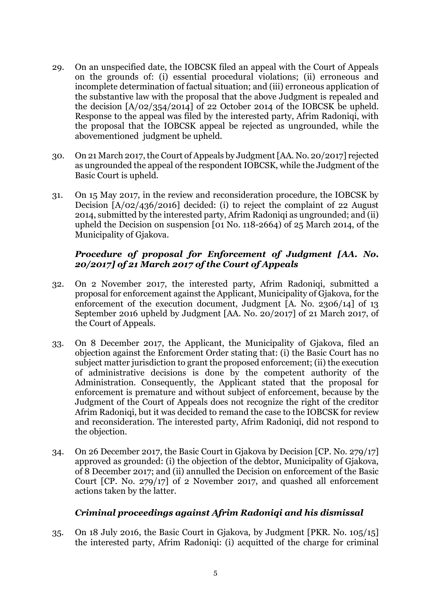- 29. On an unspecified date, the IOBCSK filed an appeal with the Court of Appeals on the grounds of: (i) essential procedural violations; (ii) erroneous and incomplete determination of factual situation; and (iii) erroneous application of the substantive law with the proposal that the above Judgment is repealed and the decision [A/02/354/2014] of 22 October 2014 of the IOBCSK be upheld. Response to the appeal was filed by the interested party, Afrim Radoniqi, with the proposal that the IOBCSK appeal be rejected as ungrounded, while the abovementioned judgment be upheld.
- 30. On 21 March 2017, the Court of Appeals by Judgment [AA. No. 20/2017] rejected as ungrounded the appeal of the respondent IOBCSK, while the Judgment of the Basic Court is upheld.
- 31. On 15 May 2017, in the review and reconsideration procedure, the IOBCSK by Decision [A/02/436/2016] decided: (i) to reject the complaint of 22 August 2014, submitted by the interested party, Afrim Radoniqi as ungrounded; and (ii) upheld the Decision on suspension [01 No. 118-2664) of 25 March 2014, of the Municipality of Gjakova.

# *Procedure of proposal for Enforcement of Judgment [AA. No. 20/2017] of 21 March 2017 of the Court of Appeals*

- 32. On 2 November 2017, the interested party, Afrim Radoniqi, submitted a proposal for enforcement against the Applicant, Municipality of Gjakova, for the enforcement of the execution document, Judgment [A. No. 2306/14] of 13 September 2016 upheld by Judgment [AA. No. 20/2017] of 21 March 2017, of the Court of Appeals.
- 33. On 8 December 2017, the Applicant, the Municipality of Gjakova, filed an objection against the Enforcment Order stating that: (i) the Basic Court has no subject matter jurisdiction to grant the proposed enforcement; (ii) the execution of administrative decisions is done by the competent authority of the Administration. Consequently, the Applicant stated that the proposal for enforcement is premature and without subject of enforcement, because by the Judgment of the Court of Appeals does not recognize the right of the creditor Afrim Radoniqi, but it was decided to remand the case to the IOBCSK for review and reconsideration. The interested party, Afrim Radoniqi, did not respond to the objection.
- 34. On 26 December 2017, the Basic Court in Gjakova by Decision [CP. No. 279/17] approved as grounded: (i) the objection of the debtor, Municipality of Gjakova, of 8 December 2017; and (ii) annulled the Decision on enforcement of the Basic Court [CP. No. 279/17] of 2 November 2017, and quashed all enforcement actions taken by the latter.

## *Criminal proceedings against Afrim Radoniqi and his dismissal*

35. On 18 July 2016, the Basic Court in Gjakova, by Judgment [PKR. No. 105/15] the interested party, Afrim Radoniqi: (i) acquitted of the charge for criminal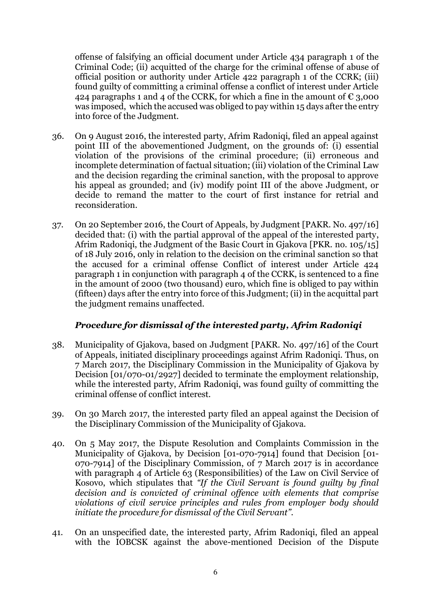offense of falsifying an official document under Article 434 paragraph 1 of the Criminal Code; (ii) acquitted of the charge for the criminal offense of abuse of official position or authority under Article 422 paragraph 1 of the CCRK; (iii) found guilty of committing a criminal offense a conflict of interest under Article 424 paragraphs 1 and 4 of the CCRK, for which a fine in the amount of  $\epsilon$  3,000 was imposed, which the accused was obliged to pay within 15 days after the entry into force of the Judgment.

- 36. On 9 August 2016, the interested party, Afrim Radoniqi, filed an appeal against point III of the abovementioned Judgment, on the grounds of: (i) essential violation of the provisions of the criminal procedure; (ii) erroneous and incomplete determination of factual situation; (iii) violation of the Criminal Law and the decision regarding the criminal sanction, with the proposal to approve his appeal as grounded; and (iv) modify point III of the above Judgment, or decide to remand the matter to the court of first instance for retrial and reconsideration.
- 37. On 20 September 2016, the Court of Appeals, by Judgment [PAKR. No. 497/16] decided that: (i) with the partial approval of the appeal of the interested party, Afrim Radoniqi, the Judgment of the Basic Court in Gjakova [PKR. no. 105/15] of 18 July 2016, only in relation to the decision on the criminal sanction so that the accused for a criminal offense Conflict of interest under Article 424 paragraph 1 in conjunction with paragraph 4 of the CCRK, is sentenced to a fine in the amount of 2000 (two thousand) euro, which fine is obliged to pay within (fifteen) days after the entry into force of this Judgment; (ii) in the acquittal part the judgment remains unaffected.

# *Procedure for dismissal of the interested party, Afrim Radoniqi*

- 38. Municipality of Gjakova, based on Judgment [PAKR. No. 497/16] of the Court of Appeals, initiated disciplinary proceedings against Afrim Radoniqi. Thus, on 7 March 2017, the Disciplinary Commission in the Municipality of Gjakova by Decision [01/070-01/2927] decided to terminate the employment relationship, while the interested party, Afrim Radoniqi, was found guilty of committing the criminal offense of conflict interest.
- 39. On 30 March 2017, the interested party filed an appeal against the Decision of the Disciplinary Commission of the Municipality of Gjakova.
- 40. On 5 May 2017, the Dispute Resolution and Complaints Commission in the Municipality of Gjakova, by Decision [01-070-7914] found that Decision [01- 070-7914] of the Disciplinary Commission, of 7 March 2017 is in accordance with paragraph 4 of Article 63 (Responsibilities) of the Law on Civil Service of Kosovo, which stipulates that *"If the Civil Servant is found guilty by final decision and is convicted of criminal offence with elements that comprise violations of civil service principles and rules from employer body should initiate the procedure for dismissal of the Civil Servant".*
- 41. On an unspecified date, the interested party, Afrim Radoniqi, filed an appeal with the IOBCSK against the above-mentioned Decision of the Dispute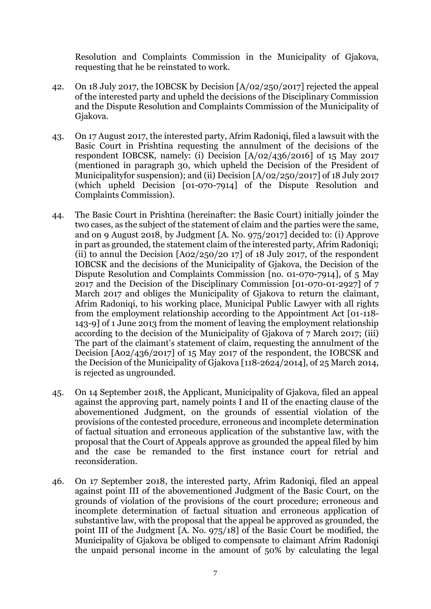Resolution and Complaints Commission in the Municipality of Gjakova, requesting that he be reinstated to work.

- 42. On 18 July 2017, the IOBCSK by Decision [A/02/250/2017] rejected the appeal of the interested party and upheld the decisions of the Disciplinary Commission and the Dispute Resolution and Complaints Commission of the Municipality of Gjakova.
- 43. On 17 August 2017, the interested party, Afrim Radoniqi, filed a lawsuit with the Basic Court in Prishtina requesting the annulment of the decisions of the respondent IOBCSK, namely: (i) Decision [A/02/436/2016] of 15 May 2017 (mentioned in paragraph 30, which upheld the Decision of the President of Municipalityfor suspension); and (ii) Decision [A/02/250/2017] of 18 July 2017 (which upheld Decision [01-070-7914] of the Dispute Resolution and Complaints Commission).
- 44. The Basic Court in Prishtina (hereinafter: the Basic Court) initially joinder the two cases, as the subject of the statement of claim and the parties were the same, and on 9 August 2018, by Judgment [A. No. 975/2017] decided to: (i) Approve in part as grounded, the statement claim of the interested party, Afrim Radoniqi; (ii) to annul the Decision  $[Ao2/25O/20 17]$  of 18 July 2017, of the respondent IOBCSK and the decisions of the Municipality of Gjakova, the Decision of the Dispute Resolution and Complaints Commission [no. 01-070-7914], of 5 May 2017 and the Decision of the Disciplinary Commission [01-070-01-2927] of 7 March 2017 and obliges the Municipality of Gjakova to return the claimant, Afrim Radoniqi, to his working place, Municipal Public Lawyer with all rights from the employment relationship according to the Appointment Act [01-118- 143-9] of 1 June 2013 from the moment of leaving the employment relationship according to the decision of the Municipality of Gjakova of 7 March 2017; (iii) The part of the claimant's statement of claim, requesting the annulment of the Decision [A02/436/2017] of 15 May 2017 of the respondent, the IOBCSK and the Decision of the Municipality of Gjakova [118-2624/2014], of 25 March 2014, is rejected as ungrounded.
- 45. On 14 September 2018, the Applicant, Municipality of Gjakova, filed an appeal against the approving part, namely points I and II of the enacting clause of the abovementioned Judgment, on the grounds of essential violation of the provisions of the contested procedure, erroneous and incomplete determination of factual situation and erroneous application of the substantive law, with the proposal that the Court of Appeals approve as grounded the appeal filed by him and the case be remanded to the first instance court for retrial and reconsideration.
- 46. On 17 September 2018, the interested party, Afrim Radoniqi, filed an appeal against point III of the abovementioned Judgment of the Basic Court, on the grounds of violation of the provisions of the court procedure; erroneous and incomplete determination of factual situation and erroneous application of substantive law, with the proposal that the appeal be approved as grounded, the point III of the Judgment [A. No. 975/18] of the Basic Court be modified, the Municipality of Gjakova be obliged to compensate to claimant Afrim Radoniqi the unpaid personal income in the amount of 50% by calculating the legal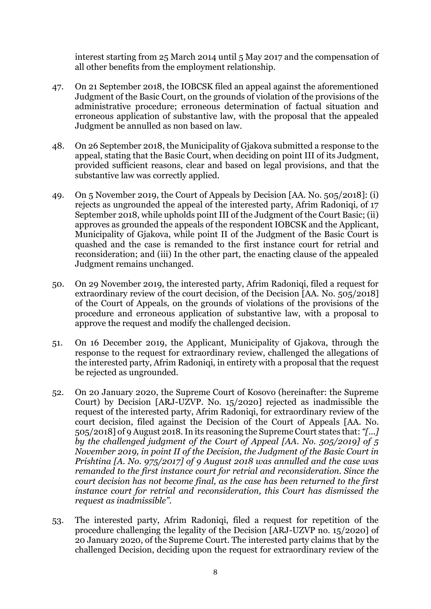interest starting from 25 March 2014 until 5 May 2017 and the compensation of all other benefits from the employment relationship.

- 47. On 21 September 2018, the IOBCSK filed an appeal against the aforementioned Judgment of the Basic Court, on the grounds of violation of the provisions of the administrative procedure; erroneous determination of factual situation and erroneous application of substantive law, with the proposal that the appealed Judgment be annulled as non based on law.
- 48. On 26 September 2018, the Municipality of Gjakova submitted a response to the appeal, stating that the Basic Court, when deciding on point III of its Judgment, provided sufficient reasons, clear and based on legal provisions, and that the substantive law was correctly applied.
- 49. On 5 November 2019, the Court of Appeals by Decision [AA. No. 505/2018]: (i) rejects as ungrounded the appeal of the interested party, Afrim Radoniqi, of 17 September 2018, while upholds point III of the Judgment of the Court Basic; (ii) approves as grounded the appeals of the respondent IOBCSK and the Applicant, Municipality of Gjakova, while point II of the Judgment of the Basic Court is quashed and the case is remanded to the first instance court for retrial and reconsideration; and (iii) In the other part, the enacting clause of the appealed Judgment remains unchanged.
- 50. On 29 November 2019, the interested party, Afrim Radoniqi, filed a request for extraordinary review of the court decision, of the Decision [AA. No. 505/2018] of the Court of Appeals, on the grounds of violations of the provisions of the procedure and erroneous application of substantive law, with a proposal to approve the request and modify the challenged decision.
- 51. On 16 December 2019, the Applicant, Municipality of Gjakova, through the response to the request for extraordinary review, challenged the allegations of the interested party, Afrim Radoniqi, in entirety with a proposal that the request be rejected as ungrounded.
- 52. On 20 January 2020, the Supreme Court of Kosovo (hereinafter: the Supreme Court) by Decision [ARJ-UZVP. No. 15/2020] rejected as inadmissible the request of the interested party, Afrim Radoniqi, for extraordinary review of the court decision, filed against the Decision of the Court of Appeals [AA. No. 505/2018] of 9 August 2018. In its reasoning the Supreme Court states that: *"[...] by the challenged judgment of the Court of Appeal [AA. No. 505/2019] of 5 November 2019, in point II of the Decision, the Judgment of the Basic Court in Prishtina [A. No. 975/2017] of 9 August 2018 was annulled and the case was remanded to the first instance court for retrial and reconsideration. Since the court decision has not become final, as the case has been returned to the first instance court for retrial and reconsideration, this Court has dismissed the request as inadmissible".*
- 53. The interested party, Afrim Radoniqi, filed a request for repetition of the procedure challenging the legality of the Decision [ARJ-UZVP no. 15/2020] of 20 January 2020, of the Supreme Court. The interested party claims that by the challenged Decision, deciding upon the request for extraordinary review of the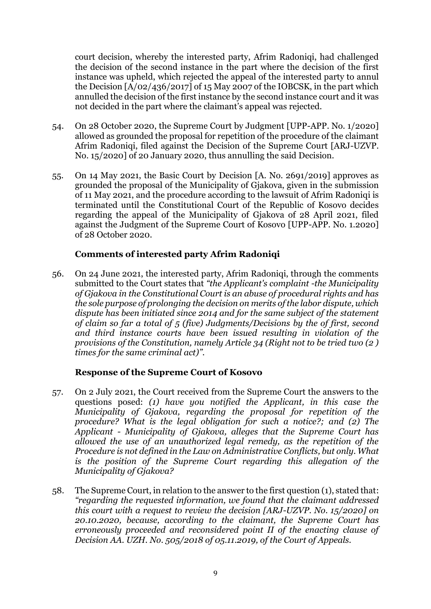court decision, whereby the interested party, Afrim Radoniqi, had challenged the decision of the second instance in the part where the decision of the first instance was upheld, which rejected the appeal of the interested party to annul the Decision [A/02/436/2017] of 15 May 2007 of the IOBCSK, in the part which annulled the decision of the first instance by the second instance court and it was not decided in the part where the claimant's appeal was rejected.

- 54. On 28 October 2020, the Supreme Court by Judgment [UPP-APP. No. 1/2020] allowed as grounded the proposal for repetition of the procedure of the claimant Afrim Radoniqi, filed against the Decision of the Supreme Court [ARJ-UZVP. No. 15/2020] of 20 January 2020, thus annulling the said Decision.
- 55. On 14 May 2021, the Basic Court by Decision [A. No. 2691/2019] approves as grounded the proposal of the Municipality of Gjakova, given in the submission of 11 May 2021, and the procedure according to the lawsuit of Afrim Radoniqi is terminated until the Constitutional Court of the Republic of Kosovo decides regarding the appeal of the Municipality of Gjakova of 28 April 2021, filed against the Judgment of the Supreme Court of Kosovo [UPP-APP. No. 1.2020] of 28 October 2020.

## **Comments of interested party Afrim Radoniqi**

56. On 24 June 2021, the interested party, Afrim Radoniqi, through the comments submitted to the Court states that *"the Applicant's complaint -the Municipality of Gjakova in the Constitutional Court is an abuse of procedural rights and has the sole purpose of prolonging the decision on merits of the labor dispute, which dispute has been initiated since 2014 and for the same subject of the statement of claim so far a total of 5 (five) Judgments/Decisions by the of first, second and third instance courts have been issued resulting in violation of the provisions of the Constitution, namely Article 34 (Right not to be tried two (2 ) times for the same criminal act)".*

## **Response of the Supreme Court of Kosovo**

- 57. On 2 July 2021, the Court received from the Supreme Court the answers to the questions posed: *(1) have you notified the Applicant, in this case the Municipality of Gjakova, regarding the proposal for repetition of the procedure? What is the legal obligation for such a notice?; and (2) The Applicant - Municipality of Gjakova, alleges that the Supreme Court has allowed the use of an unauthorized legal remedy, as the repetition of the Procedure is not defined in the Law on Administrative Conflicts, but only. What is the position of the Supreme Court regarding this allegation of the Municipality of Gjakova?*
- 58. The Supreme Court, in relation to the answer to the first question (1), stated that: *"regarding the requested information, we found that the claimant addressed this court with a request to review the decision [ARJ-UZVP. No. 15/2020] on 20.10.2020, because, according to the claimant, the Supreme Court has erroneously proceeded and reconsidered point II of the enacting clause of Decision AA. UZH. No. 505/2018 of 05.11.2019, of the Court of Appeals.*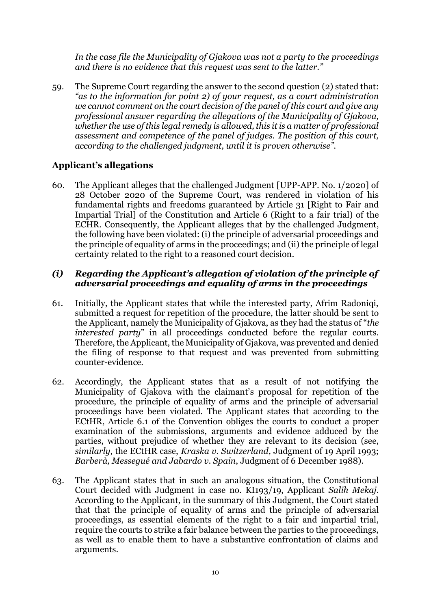*In the case file the Municipality of Gjakova was not a party to the proceedings and there is no evidence that this request was sent to the latter."*

59. The Supreme Court regarding the answer to the second question (2) stated that: *"as to the information for point 2) of your request, as a court administration we cannot comment on the court decision of the panel of this court and give any professional answer regarding the allegations of the Municipality of Gjakova, whether the use of this legal remedy is allowed, this it is a matter of professional assessment and competence of the panel of judges. The position of this court, according to the challenged judgment, until it is proven otherwise".*

# **Applicant's allegations**

60. The Applicant alleges that the challenged Judgment [UPP-APP. No. 1/2020] of 28 October 2020 of the Supreme Court, was rendered in violation of his fundamental rights and freedoms guaranteed by Article 31 [Right to Fair and Impartial Trial] of the Constitution and Article 6 (Right to a fair trial) of the ECHR. Consequently, the Applicant alleges that by the challenged Judgment, the following have been violated: (i) the principle of adversarial proceedings and the principle of equality of arms in the proceedings; and (ii) the principle of legal certainty related to the right to a reasoned court decision.

## *(i) Regarding the Applicant's allegation of violation of the principle of adversarial proceedings and equality of arms in the proceedings*

- 61. Initially, the Applicant states that while the interested party, Afrim Radoniqi, submitted a request for repetition of the procedure, the latter should be sent to the Applicant, namely the Municipality of Gjakova, as they had the status of "*the interested party*" in all proceedings conducted before the regular courts. Therefore, the Applicant, the Municipality of Gjakova, was prevented and denied the filing of response to that request and was prevented from submitting counter-evidence.
- 62. Accordingly, the Applicant states that as a result of not notifying the Municipality of Gjakova with the claimant's proposal for repetition of the procedure, the principle of equality of arms and the principle of adversarial proceedings have been violated. The Applicant states that according to the ECtHR, Article 6.1 of the Convention obliges the courts to conduct a proper examination of the submissions, arguments and evidence adduced by the parties, without prejudice of whether they are relevant to its decision (see, *similarly*, the ECtHR case, *Kraska v. Switzerland*, Judgment of 19 April 1993; *Barberà, Messegué and Jabardo v. Spain*, Judgment of 6 December 1988).
- 63. The Applicant states that in such an analogous situation, the Constitutional Court decided with Judgment in case no. KI193/19, Applicant *Salih Mekaj*. According to the Applicant, in the summary of this Judgment, the Court stated that that the principle of equality of arms and the principle of adversarial proceedings, as essential elements of the right to a fair and impartial trial, require the courts to strike a fair balance between the parties to the proceedings, as well as to enable them to have a substantive confrontation of claims and arguments.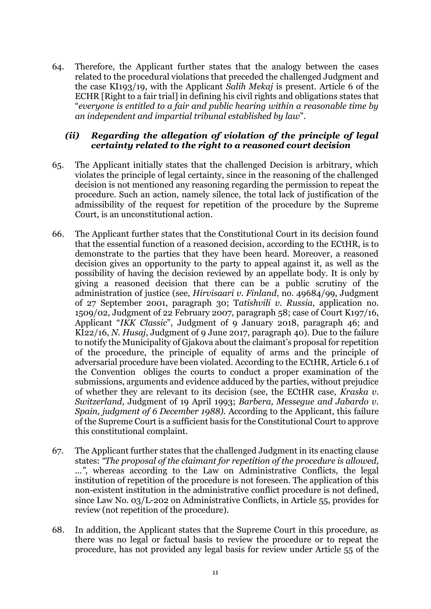64. Therefore, the Applicant further states that the analogy between the cases related to the procedural violations that preceded the challenged Judgment and the case KI193/19, with the Applicant *Salih Mekaj* is present. Article 6 of the ECHR [Right to a fair trial] in defining his civil rights and obligations states that "*everyone is entitled to a fair and public hearing within a reasonable time by an independent and impartial tribunal established by law*".

## *(ii) Regarding the allegation of violation of the principle of legal certainty related to the right to a reasoned court decision*

- 65. The Applicant initially states that the challenged Decision is arbitrary, which violates the principle of legal certainty, since in the reasoning of the challenged decision is not mentioned any reasoning regarding the permission to repeat the procedure. Such an action, namely silence, the total lack of justification of the admissibility of the request for repetition of the procedure by the Supreme Court, is an unconstitutional action.
- 66. The Applicant further states that the Constitutional Court in its decision found that the essential function of a reasoned decision, according to the ECtHR, is to demonstrate to the parties that they have been heard. Moreover, a reasoned decision gives an opportunity to the party to appeal against it, as well as the possibility of having the decision reviewed by an appellate body. It is only by giving a reasoned decision that there can be a public scrutiny of the administration of justice (see, *Hirvisaari v. Finland*, no. 49684/99, Judgment of 27 September 2001, paragraph 30; T*atishvili v. Russia*, application no. 1509/02, Judgment of 22 February 2007, paragraph 58; case of Court K197/16, Applicant "*IKK Classic*", Judgment of 9 January 2018, paragraph 46; and KI22/16, *N. Husaj*, Judgment of 9 June 2017, paragraph 40). Due to the failure to notify the Municipality of Gjakova about the claimant's proposal for repetition of the procedure, the principle of equality of arms and the principle of adversarial procedure have been violated. According to the ECtHR, Article 6.1 of the Convention obliges the courts to conduct a proper examination of the submissions, arguments and evidence adduced by the parties, without prejudice of whether they are relevant to its decision (see, the ECtHR case, *Kraska v. Switzerland*, Judgment of 19 April 1993; *Barbera, Messegue and Jabardo v. Spain, judgment of 6 December 1988).* According to the Applicant, this failure of the Supreme Court is a sufficient basis for the Constitutional Court to approve this constitutional complaint*.*
- 67. The Applicant further states that the challenged Judgment in its enacting clause states: *"The proposal of the claimant for repetition of the procedure is allowed, ..."*, whereas according to the Law on Administrative Conflicts, the legal institution of repetition of the procedure is not foreseen. The application of this non-existent institution in the administrative conflict procedure is not defined, since Law No. 03/L-202 on Administrative Conflicts, in Article 55, provides for review (not repetition of the procedure).
- 68. In addition, the Applicant states that the Supreme Court in this procedure, as there was no legal or factual basis to review the procedure or to repeat the procedure, has not provided any legal basis for review under Article 55 of the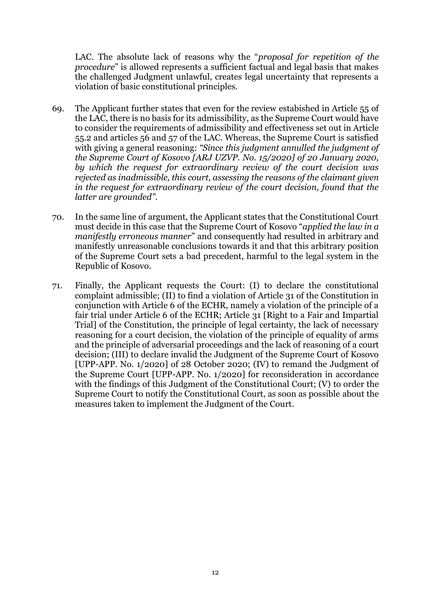LAC. The absolute lack of reasons why the "*proposal for repetition of the procedure*" is allowed represents a sufficient factual and legal basis that makes the challenged Judgment unlawful, creates legal uncertainty that represents a violation of basic constitutional principles.

- 69. The Applicant further states that even for the review estabished in Article 55 of the LAC, there is no basis for its admissibility, as the Supreme Court would have to consider the requirements of admissibility and effectiveness set out in Article 55.2 and articles 56 and 57 of the LAC. Whereas, the Supreme Court is satisfied with giving a general reasoning: *"Since this judgment annulled the judgment of the Supreme Court of Kosovo [ARJ UZVP. No. 15/2020] of 20 January 2020, by which the request for extraordinary review of the court decision was rejected as inadmissible, this court, assessing the reasons of the claimant given in the request for extraordinary review of the court decision, found that the latter are grounded".*
- 70. In the same line of argument, the Applicant states that the Constitutional Court must decide in this case that the Supreme Court of Kosovo "*applied the law in a manifestly erroneous manner*" and consequently had resulted in arbitrary and manifestly unreasonable conclusions towards it and that this arbitrary position of the Supreme Court sets a bad precedent, harmful to the legal system in the Republic of Kosovo.
- 71. Finally, the Applicant requests the Court: (I) to declare the constitutional complaint admissible; (II) to find a violation of Article 31 of the Constitution in conjunction with Article 6 of the ECHR, namely a violation of the principle of a fair trial under Article 6 of the ECHR; Article 31 [Right to a Fair and Impartial Trial] of the Constitution, the principle of legal certainty, the lack of necessary reasoning for a court decision, the violation of the principle of equality of arms and the principle of adversarial proceedings and the lack of reasoning of a court decision; (III) to declare invalid the Judgment of the Supreme Court of Kosovo [UPP-APP. No. 1/2020] of 28 October 2020; (IV) to remand the Judgment of the Supreme Court [UPP-APP. No. 1/2020] for reconsideration in accordance with the findings of this Judgment of the Constitutional Court; (V) to order the Supreme Court to notify the Constitutional Court, as soon as possible about the measures taken to implement the Judgment of the Court.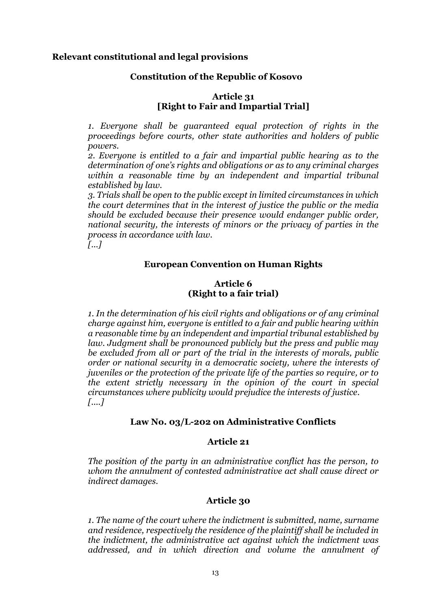#### **Relevant constitutional and legal provisions**

#### **Constitution of the Republic of Kosovo**

#### **Article 31 [Right to Fair and Impartial Trial]**

*1. Everyone shall be guaranteed equal protection of rights in the proceedings before courts, other state authorities and holders of public powers.* 

*2. Everyone is entitled to a fair and impartial public hearing as to the determination of one's rights and obligations or as to any criminal charges within a reasonable time by an independent and impartial tribunal established by law.* 

*3. Trials shall be open to the public except in limited circumstances in which the court determines that in the interest of justice the public or the media should be excluded because their presence would endanger public order, national security, the interests of minors or the privacy of parties in the process in accordance with law.* 

*[...]* 

#### **European Convention on Human Rights**

#### **Article 6 (Right to a fair trial)**

*1. In the determination of his civil rights and obligations or of any criminal charge against him, everyone is entitled to a fair and public hearing within a reasonable time by an independent and impartial tribunal established by*  law. Judgment shall be pronounced publicly but the press and public may *be excluded from all or part of the trial in the interests of morals, public order or national security in a democratic society, where the interests of juveniles or the protection of the private life of the parties so require, or to the extent strictly necessary in the opinion of the court in special circumstances where publicity would prejudice the interests of justice. [....]*

#### **Law No. 03/L-202 on Administrative Conflicts**

#### **Article 21**

*The position of the party in an administrative conflict has the person, to whom the annulment of contested administrative act shall cause direct or indirect damages.*

## **Article 30**

*1. The name of the court where the indictment is submitted, name, surname and residence, respectively the residence of the plaintiff shall be included in the indictment, the administrative act against which the indictment was addressed, and in which direction and volume the annulment of*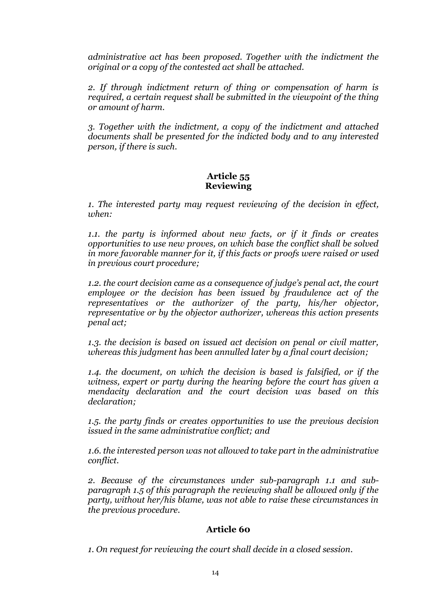*administrative act has been proposed. Together with the indictment the original or a copy of the contested act shall be attached.*

*2. If through indictment return of thing or compensation of harm is required, a certain request shall be submitted in the viewpoint of the thing or amount of harm.*

*3. Together with the indictment, a copy of the indictment and attached documents shall be presented for the indicted body and to any interested person, if there is such.*

#### **Article 55 Reviewing**

*1. The interested party may request reviewing of the decision in effect, when:*

*1.1. the party is informed about new facts, or if it finds or creates opportunities to use new proves, on which base the conflict shall be solved in more favorable manner for it, if this facts or proofs were raised or used in previous court procedure;*

*1.2. the court decision came as a consequence of judge's penal act, the court employee or the decision has been issued by fraudulence act of the representatives or the authorizer of the party, his/her objector, representative or by the objector authorizer, whereas this action presents penal act;*

*1.3. the decision is based on issued act decision on penal or civil matter, whereas this judgment has been annulled later by a final court decision;*

*1.4. the document, on which the decision is based is falsified, or if the witness, expert or party during the hearing before the court has given a mendacity declaration and the court decision was based on this declaration;*

*1.5. the party finds or creates opportunities to use the previous decision issued in the same administrative conflict; and*

*1.6. the interested person was not allowed to take part in the administrative conflict.*

*2. Because of the circumstances under sub-paragraph 1.1 and subparagraph 1.5 of this paragraph the reviewing shall be allowed only if the party, without her/his blame, was not able to raise these circumstances in the previous procedure.*

# **Article 60**

*1. On request for reviewing the court shall decide in a closed session.*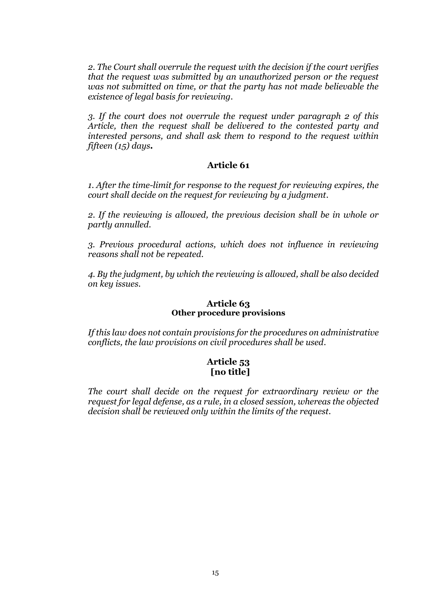*2. The Court shall overrule the request with the decision if the court verifies that the request was submitted by an unauthorized person or the request was not submitted on time, or that the party has not made believable the existence of legal basis for reviewing.*

*3. If the court does not overrule the request under paragraph 2 of this Article, then the request shall be delivered to the contested party and interested persons, and shall ask them to respond to the request within fifteen (15) days.*

## **Article 61**

*1. After the time-limit for response to the request for reviewing expires, the court shall decide on the request for reviewing by a judgment.* 

*2. If the reviewing is allowed, the previous decision shall be in whole or partly annulled.*

*3. Previous procedural actions, which does not influence in reviewing reasons shall not be repeated.* 

*4. By the judgment, by which the reviewing is allowed, shall be also decided on key issues.*

## **Article 63 Other procedure provisions**

*If this law does not contain provisions for the procedures on administrative conflicts, the law provisions on civil procedures shall be used.*

## **Article 53 [no title]**

*The court shall decide on the request for extraordinary review or the request for legal defense, as a rule, in a closed session, whereas the objected decision shall be reviewed only within the limits of the request.*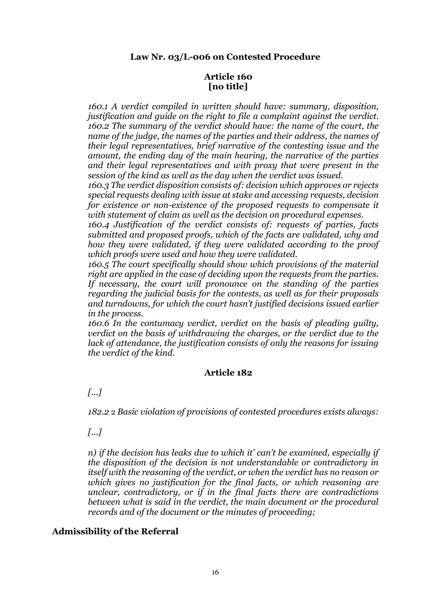## **Article 160 [no title]**

*160.1 A verdict compiled in written should have: summary, disposition, justification and guide on the right to file a complaint against the verdict. 160.2 The summary of the verdict should have: the name of the court, the name of the judge, the names of the parties and their address, the names of their legal representatives, brief narrative of the contesting issue and the amount, the ending day of the main hearing, the narrative of the parties and their legal representatives and with proxy that were present in the session of the kind as well as the day when the verdict was issued.* 

*160.3 The verdict disposition consists of: decision which approves or rejects special requests dealing with issue at stake and accessing requests, decision for existence or non-existence of the proposed requests to compensate it with statement of claim as well as the decision on procedural expenses.* 

*160.4 Justification of the verdict consists of: requests of parties, facts submitted and proposed proofs, which of the facts are validated, why and how they were validated, if they were validated according to the proof which proofs were used and how they were validated.* 

*160.5 The court specifically should show which provisions of the material right are applied in the case of deciding upon the requests from the parties. If necessary, the court will pronounce on the standing of the parties regarding the judicial basis for the contests, as well as for their proposals and turndowns, for which the court hasn't justified decisions issued earlier in the process.* 

*160.6 In the contumacy verdict, verdict on the basis of pleading guilty, verdict on the basis of withdrawing the charges, or the verdict due to the lack of attendance, the justification consists of only the reasons for issuing the verdict of the kind.*

# **Article 182**

# *[...]*

*182.2* 2 *Basic violation of provisions of contested procedures exists always:*

*[...]*

*n) if the decision has leaks due to which it' can't be examined, especially if the disposition of the decision is not understandable or contradictory in itself with the reasoning of the verdict, or when the verdict has no reason or which gives no justification for the final facts, or which reasoning are unclear, contradictory, or if in the final facts there are contradictions between what is said in the verdict, the main document or the procedural records and of the document or the minutes of proceeding;*

# **Admissibility of the Referral**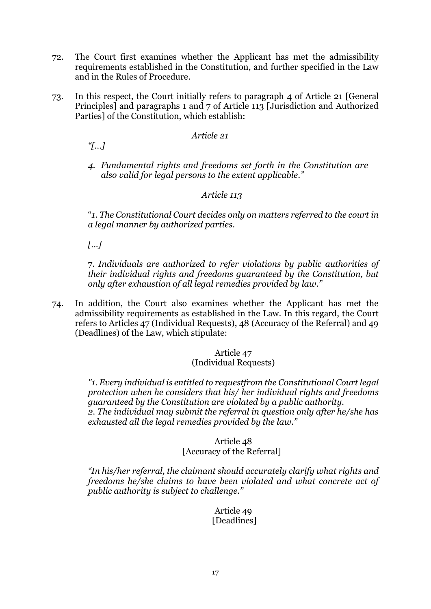- 72. The Court first examines whether the Applicant has met the admissibility requirements established in the Constitution, and further specified in the Law and in the Rules of Procedure.
- 73. In this respect, the Court initially refers to paragraph 4 of Article 21 [General Principles] and paragraphs 1 and 7 of Article 113 [Jurisdiction and Authorized Parties] of the Constitution, which establish:

## *Article 21*

*"[…]*

*4. Fundamental rights and freedoms set forth in the Constitution are also valid for legal persons to the extent applicable."*

## *Article 113*

"*1. The Constitutional Court decides only on matters referred to the court in a legal manner by authorized parties.*

*[...]*

7. *Individuals are authorized to refer violations by public authorities of their individual rights and freedoms guaranteed by the Constitution, but only after exhaustion of all legal remedies provided by law."* 

74. In addition, the Court also examines whether the Applicant has met the admissibility requirements as established in the Law. In this regard, the Court refers to Articles 47 (Individual Requests), 48 (Accuracy of the Referral) and 49 (Deadlines) of the Law, which stipulate:

#### Article 47 (Individual Requests)

*"1. Every individual is entitled to requestfrom the Constitutional Court legal protection when he considers that his/ her individual rights and freedoms guaranteed by the Constitution are violated by a public authority. 2. The individual may submit the referral in question only after he/she has exhausted all the legal remedies provided by the law."*

#### Article 48 [Accuracy of the Referral]

*"In his/her referral, the claimant should accurately clarify what rights and freedoms he/she claims to have been violated and what concrete act of public authority is subject to challenge."* 

> Article 49 [Deadlines]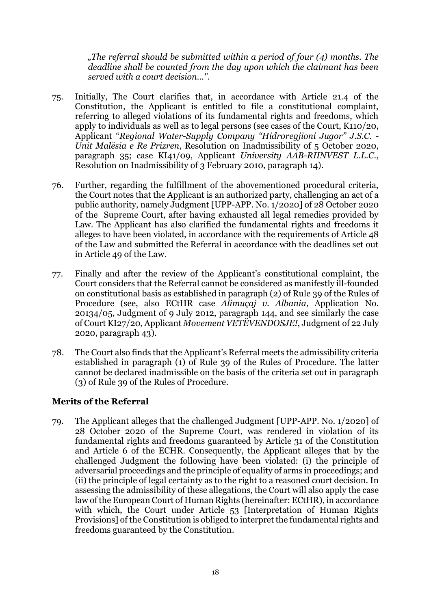*"The referral should be submitted within a period of four (4) months. The deadline shall be counted from the day upon which the claimant has been served with a court decision...".* 

- 75. Initially, The Court clarifies that, in accordance with Article 21.4 of the Constitution, the Applicant is entitled to file a constitutional complaint, referring to alleged violations of its fundamental rights and freedoms, which apply to individuals as well as to legal persons (see cases of the Court, K110/20, Applicant "*Regional Water-Supply Company "Hidroregjioni Jugor" J.S.C*. - *Unit Malësia e Re Prizren*, Resolution on Inadmissibility of 5 October 2020, paragraph 35; case KI41/09, Applicant *University AAB-RIINVEST L.L.C*., Resolution on Inadmissibility of 3 February 2010, paragraph 14).
- 76. Further, regarding the fulfillment of the abovementioned procedural criteria, the Court notes that the Applicant is an authorized party, challenging an act of a public authority, namely Judgment [UPP-APP. No. 1/2020] of 28 October 2020 of the Supreme Court, after having exhausted all legal remedies provided by Law. The Applicant has also clarified the fundamental rights and freedoms it alleges to have been violated, in accordance with the requirements of Article 48 of the Law and submitted the Referral in accordance with the deadlines set out in Article 49 of the Law.
- 77. Finally and after the review of the Applicant's constitutional complaint, the Court considers that the Referral cannot be considered as manifestly ill-founded on constitutional basis as established in paragraph (2) of Rule 39 of the Rules of Procedure (see, also ECtHR case *Alimuçaj v. Albania*, Application No. 20134/05, Judgment of 9 July 2012, paragraph 144, and see similarly the case of Court KI27/20, Applicant *Movement VETËVENDOSJE!*, Judgment of 22 July 2020, paragraph 43).
- 78. The Court also finds that the Applicant's Referral meets the admissibility criteria established in paragraph (1) of Rule 39 of the Rules of Procedure. The latter cannot be declared inadmissible on the basis of the criteria set out in paragraph (3) of Rule 39 of the Rules of Procedure.

## **Merits of the Referral**

79. The Applicant alleges that the challenged Judgment [UPP-APP. No. 1/2020] of 28 October 2020 of the Supreme Court, was rendered in violation of its fundamental rights and freedoms guaranteed by Article 31 of the Constitution and Article 6 of the ECHR. Consequently, the Applicant alleges that by the challenged Judgment the following have been violated: (i) the principle of adversarial proceedings and the principle of equality of arms in proceedings; and (ii) the principle of legal certainty as to the right to a reasoned court decision. In assessing the admissibility of these allegations, the Court will also apply the case law of the European Court of Human Rights (hereinafter: ECtHR), in accordance with which, the Court under Article 53 [Interpretation of Human Rights Provisions] of the Constitution is obliged to interpret the fundamental rights and freedoms guaranteed by the Constitution.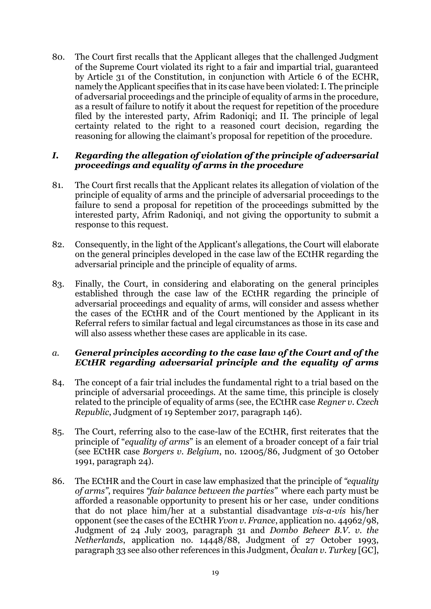80. The Court first recalls that the Applicant alleges that the challenged Judgment of the Supreme Court violated its right to a fair and impartial trial, guaranteed by Article 31 of the Constitution, in conjunction with Article 6 of the ECHR, namely the Applicant specifies that in its case have been violated: I. The principle of adversarial proceedings and the principle of equality of arms in the procedure, as a result of failure to notify it about the request for repetition of the procedure filed by the interested party, Afrim Radoniqi; and II. The principle of legal certainty related to the right to a reasoned court decision, regarding the reasoning for allowing the claimant's proposal for repetition of the procedure.

## *I. Regarding the allegation of violation of the principle of adversarial proceedings and equality of arms in the procedure*

- 81. The Court first recalls that the Applicant relates its allegation of violation of the principle of equality of arms and the principle of adversarial proceedings to the failure to send a proposal for repetition of the proceedings submitted by the interested party, Afrim Radoniqi, and not giving the opportunity to submit a response to this request.
- 82. Consequently, in the light of the Applicant's allegations, the Court will elaborate on the general principles developed in the case law of the ECtHR regarding the adversarial principle and the principle of equality of arms.
- 83. Finally, the Court, in considering and elaborating on the general principles established through the case law of the ECtHR regarding the principle of adversarial proceedings and equality of arms, will consider and assess whether the cases of the ECtHR and of the Court mentioned by the Applicant in its Referral refers to similar factual and legal circumstances as those in its case and will also assess whether these cases are applicable in its case.

# *a. General principles according to the case law of the Court and of the ECtHR regarding adversarial principle and the equality of arms*

- 84. The concept of a fair trial includes the fundamental right to a trial based on the principle of adversarial proceedings. At the same time, this principle is closely related to the principle of equality of arms (see, the ECtHR case *Regner v. Czech Republic*, Judgment of 19 September 2017, paragraph 146).
- 85. The Court, referring also to the case-law of the ECtHR, first reiterates that the principle of "*equality of arms*" is an element of a broader concept of a fair trial (see ECtHR case *Borgers v. Belgium*, no. 12005/86, Judgment of 30 October 1991, paragraph 24).
- 86. The ECtHR and the Court in case law emphasized that the principle of *"equality of arms"*, requires *"fair balance between the parties"* where each party must be afforded a reasonable opportunity to present his or her case, under conditions that do not place him/her at a substantial disadvantage *vis-a-vis* his/her opponent (see the cases of the ECtHR *Yvon v. France*, application no. 44962/98, Judgment of 24 July 2003, paragraph 31 and *Dombo Beheer B.V. v. the Netherlands*, application no. 14448/88, Judgment of 27 October 1993, paragraph 33 see also other references in this Judgment, *Öcalan v. Turkey* [GC],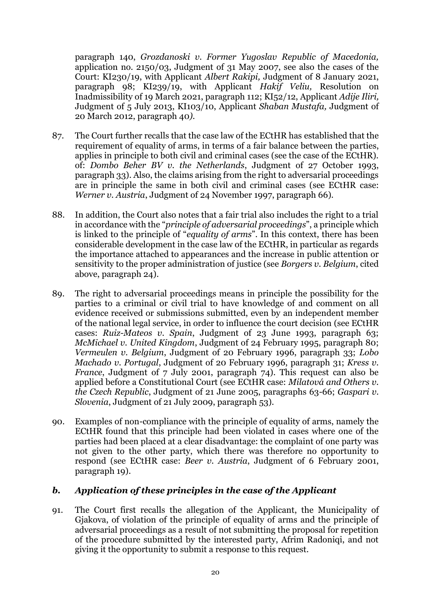paragraph 140, *Grozdanoski v. Former Yugoslav Republic of Macedonia,*  application no. 2150/03, Judgment of 31 May 2007, see also the cases of the Court: KI230/19, with Applicant *Albert Rakipi,* Judgment of 8 January 2021, paragraph 98; KI239/19, with Applicant *Hakif Veliu,* Resolution on Inadmissibility of 19 March 2021, paragraph 112; KI52/12, Applicant *Adije Iliri,*  Judgment of 5 July 2013, KI103/10, Applicant *Shaban Mustafa,* Judgment of 20 March 2012, paragraph 40*).* 

- 87. The Court further recalls that the case law of the ECtHR has established that the requirement of equality of arms, in terms of a fair balance between the parties, applies in principle to both civil and criminal cases (see the case of the ECtHR). of: *Dombo Beher BV v. the Netherlands*, Judgment of 27 October 1993, paragraph 33). Also, the claims arising from the right to adversarial proceedings are in principle the same in both civil and criminal cases (see ECtHR case: *Werner v. Austria*, Judgment of 24 November 1997, paragraph 66).
- 88. In addition, the Court also notes that a fair trial also includes the right to a trial in accordance with the "*principle of adversarial proceedings*", a principle which is linked to the principle of "*equality of arms*". In this context, there has been considerable development in the case law of the ECtHR, in particular as regards the importance attached to appearances and the increase in public attention or sensitivity to the proper administration of justice (see *Borgers v. Belgium*, cited above, paragraph 24).
- 89. The right to adversarial proceedings means in principle the possibility for the parties to a criminal or civil trial to have knowledge of and comment on all evidence received or submissions submitted, even by an independent member of the national legal service, in order to influence the court decision (see ECtHR cases: *Ruiz-Mateos v. Spain*, Judgment of 23 June 1993, paragraph 63; *McMichael v. United Kingdom*, Judgment of 24 February 1995, paragraph 80; *Vermeulen v. Belgium*, Judgment of 20 February 1996, paragraph 33; *Lobo Machado v. Portugal*, Judgment of 20 February 1996, paragraph 31; *Kress v. France*, Judgment of 7 July 2001, paragraph 74). This request can also be applied before a Constitutional Court (see ECtHR case: *Milatová and Others v. the Czech Republic*, Judgment of 21 June 2005, paragraphs 63-66; *Gaspari v. Slovenia*, Judgment of 21 July 2009, paragraph 53).
- 90. Examples of non-compliance with the principle of equality of arms, namely the ECtHR found that this principle had been violated in cases where one of the parties had been placed at a clear disadvantage: the complaint of one party was not given to the other party, which there was therefore no opportunity to respond (see ECtHR case: *Beer v. Austria*, Judgment of 6 February 2001, paragraph 19).

# *b. Application of these principles in the case of the Applicant*

91. The Court first recalls the allegation of the Applicant, the Municipality of Gjakova, of violation of the principle of equality of arms and the principle of adversarial proceedings as a result of not submitting the proposal for repetition of the procedure submitted by the interested party, Afrim Radoniqi, and not giving it the opportunity to submit a response to this request.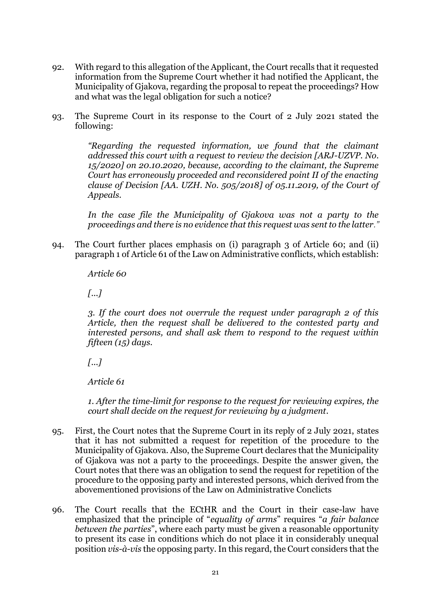- 92. With regard to this allegation of the Applicant, the Court recalls that it requested information from the Supreme Court whether it had notified the Applicant, the Municipality of Gjakova, regarding the proposal to repeat the proceedings? How and what was the legal obligation for such a notice?
- 93. The Supreme Court in its response to the Court of 2 July 2021 stated the following:

*"Regarding the requested information, we found that the claimant addressed this court with a request to review the decision [ARJ-UZVP. No. 15/2020] on 20.10.2020, because, according to the claimant, the Supreme Court has erroneously proceeded and reconsidered point II of the enacting clause of Decision [AA. UZH. No. 505/2018] of 05.11.2019, of the Court of Appeals.*

*In the case file the Municipality of Gjakova was not a party to the proceedings and there is no evidence that this request was sent to the latter."*

94. The Court further places emphasis on (i) paragraph 3 of Article 60; and (ii) paragraph 1 of Article 61 of the Law on Administrative conflicts, which establish:

*Article 60* 

*[...]*

*3. If the court does not overrule the request under paragraph 2 of this Article, then the request shall be delivered to the contested party and interested persons, and shall ask them to respond to the request within fifteen (15) days.*

*[...]*

*Article 61* 

*1. After the time-limit for response to the request for reviewing expires, the court shall decide on the request for reviewing by a judgment.*

- 95. First, the Court notes that the Supreme Court in its reply of 2 July 2021, states that it has not submitted a request for repetition of the procedure to the Municipality of Gjakova. Also, the Supreme Court declares that the Municipality of Gjakova was not a party to the proceedings. Despite the answer given, the Court notes that there was an obligation to send the request for repetition of the procedure to the opposing party and interested persons, which derived from the abovementioned provisions of the Law on Administrative Conclicts
- 96. The Court recalls that the ECtHR and the Court in their case-law have emphasized that the principle of "*equality of arms*" requires "*a fair balance between the parties*", where each party must be given a reasonable opportunity to present its case in conditions which do not place it in considerably unequal position *vis-à-vis* the opposing party. In this regard, the Court considers that the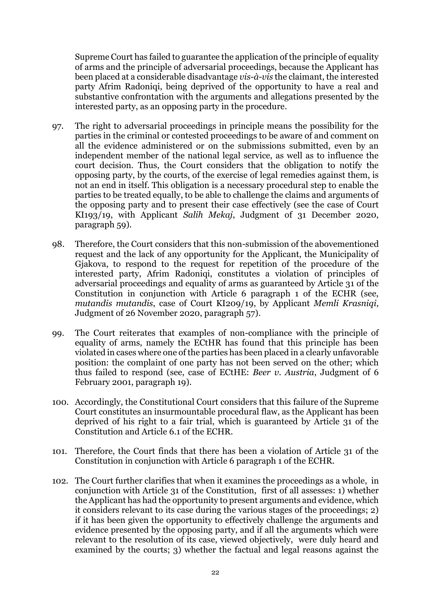Supreme Court has failed to guarantee the application of the principle of equality of arms and the principle of adversarial proceedings, because the Applicant has been placed at a considerable disadvantage *vis-à-vis* the claimant, the interested party Afrim Radoniqi, being deprived of the opportunity to have a real and substantive confrontation with the arguments and allegations presented by the interested party, as an opposing party in the procedure.

- 97. The right to adversarial proceedings in principle means the possibility for the parties in the criminal or contested proceedings to be aware of and comment on all the evidence administered or on the submissions submitted, even by an independent member of the national legal service, as well as to influence the court decision. Thus, the Court considers that the obligation to notify the opposing party, by the courts, of the exercise of legal remedies against them, is not an end in itself. This obligation is a necessary procedural step to enable the parties to be treated equally, to be able to challenge the claims and arguments of the opposing party and to present their case effectively (see the case of Court KI193/19, with Applicant *Salih Mekaj*, Judgment of 31 December 2020, paragraph 59).
- 98. Therefore, the Court considers that this non-submission of the abovementioned request and the lack of any opportunity for the Applicant, the Municipality of Gjakova, to respond to the request for repetition of the procedure of the interested party, Afrim Radoniqi, constitutes a violation of principles of adversarial proceedings and equality of arms as guaranteed by Article 31 of the Constitution in conjunction with Article 6 paragraph 1 of the ECHR (see, *mutandis mutandis*, case of Court KI209/19, by Applicant *Memli Krasniqi*, Judgment of 26 November 2020, paragraph 57).
- 99. The Court reiterates that examples of non-compliance with the principle of equality of arms, namely the ECtHR has found that this principle has been violated in cases where one of the parties has been placed in a clearly unfavorable position: the complaint of one party has not been served on the other; which thus failed to respond (see, case of ECtHE: *Beer v. Austria*, Judgment of 6 February 2001, paragraph 19).
- 100. Accordingly, the Constitutional Court considers that this failure of the Supreme Court constitutes an insurmountable procedural flaw, as the Applicant has been deprived of his right to a fair trial, which is guaranteed by Article 31 of the Constitution and Article 6.1 of the ECHR.
- 101. Therefore, the Court finds that there has been a violation of Article 31 of the Constitution in conjunction with Article 6 paragraph 1 of the ECHR.
- 102. The Court further clarifies that when it examines the proceedings as a whole, in conjunction with Article 31 of the Constitution, first of all assesses: 1) whether the Applicant has had the opportunity to present arguments and evidence, which it considers relevant to its case during the various stages of the proceedings; 2) if it has been given the opportunity to effectively challenge the arguments and evidence presented by the opposing party, and if all the arguments which were relevant to the resolution of its case, viewed objectively, were duly heard and examined by the courts; 3) whether the factual and legal reasons against the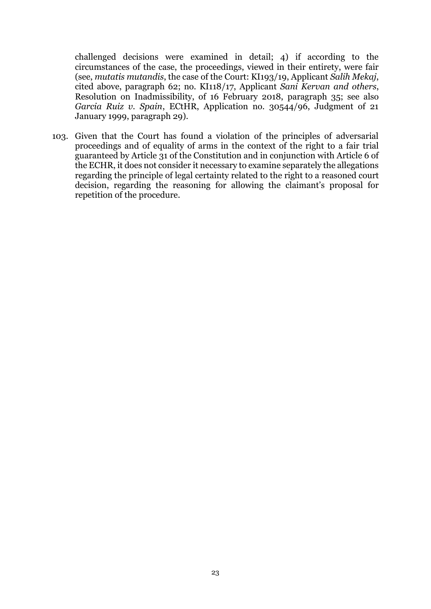challenged decisions were examined in detail; 4) if according to the circumstances of the case, the proceedings, viewed in their entirety, were fair (see, *mutatis mutandis*, the case of the Court: KI193/19, Applicant *Salih Mekaj*, cited above, paragraph 62; no. KI118/17, Applicant *Sani Kervan and others*, Resolution on Inadmissibility, of 16 February 2018, paragraph 35; see also *Garcia Ruiz v. Spain*, ECtHR, Application no. 30544/96, Judgment of 21 January 1999, paragraph 29).

103. Given that the Court has found a violation of the principles of adversarial proceedings and of equality of arms in the context of the right to a fair trial guaranteed by Article 31 of the Constitution and in conjunction with Article 6 of the ECHR, it does not consider it necessary to examine separately the allegations regarding the principle of legal certainty related to the right to a reasoned court decision, regarding the reasoning for allowing the claimant's proposal for repetition of the procedure.